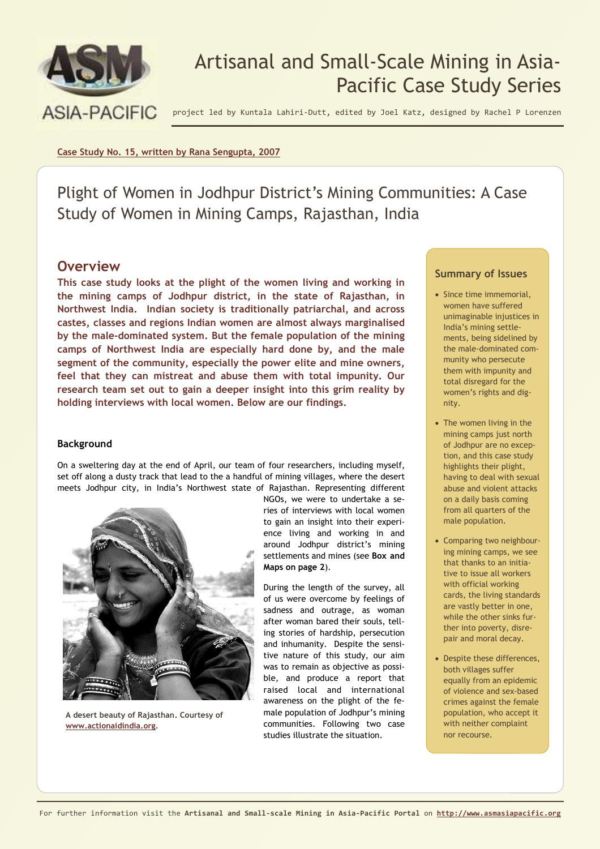

# Artisanal and Small-Scale Mining in Asia-Pacific Case Study Series

project led by Kuntala Lahiri-Dutt, edited by Joel Katz, designed by Rachel P Lorenzen

**Case Study No. 15, written by Rana Sengupta, 2007**

Plight of Women in Jodhpur District's Mining Communities: A Case Study of Women in Mining Camps, Rajasthan, India

# **Overview**

**This case study looks at the plight of the women living and working in the mining camps of Jodhpur district, in the state of Rajasthan, in Northwest India. Indian society is traditionally patriarchal, and across castes, classes and regions Indian women are almost always marginalised by the male-dominated system. But the female population of the mining camps of Northwest India are especially hard done by, and the male segment of the community, especially the power elite and mine owners, feel that they can mistreat and abuse them with total impunity. Our research team set out to gain a deeper insight into this grim reality by holding interviews with local women. Below are our findings.**

#### **Background**

On a sweltering day at the end of April, our team of four researchers, including myself, set off along a dusty track that lead to the a handful of mining villages, where the desert meets Jodhpur city, in India's Northwest state of Rajasthan. Representing different



**A desert beauty of Rajasthan. Courtesy of www.actionaidindia.org.** 

NGOs, we were to undertake a series of interviews with local women to gain an insight into their experience living and working in and around Jodhpur district's mining settlements and mines (see **Box and Maps on page 2**).

During the length of the survey, all of us were overcome by feelings of sadness and outrage, as woman after woman bared their souls, telling stories of hardship, persecution and inhumanity. Despite the sensitive nature of this study, our aim was to remain as objective as possible, and produce a report that raised local and international awareness on the plight of the female population of Jodhpur's mining communities. Following two case studies illustrate the situation.

#### **Summary of Issues**

- Since time immemorial, women have suffered unimaginable injustices in India's mining settlements, being sidelined by the male-dominated community who persecute them with impunity and total disregard for the women's rights and dignity.
- The women living in the mining camps just north of Jodhpur are no exception, and this case study highlights their plight, having to deal with sexual abuse and violent attacks on a daily basis coming from all quarters of the male population.
- Comparing two neighbouring mining camps, we see that thanks to an initiative to issue all workers with official working cards, the living standards are vastly better in one, while the other sinks further into poverty, disrepair and moral decay.
- Despite these differences, both villages suffer equally from an epidemic of violence and sex-based crimes against the female population, who accept it with neither complaint nor recourse.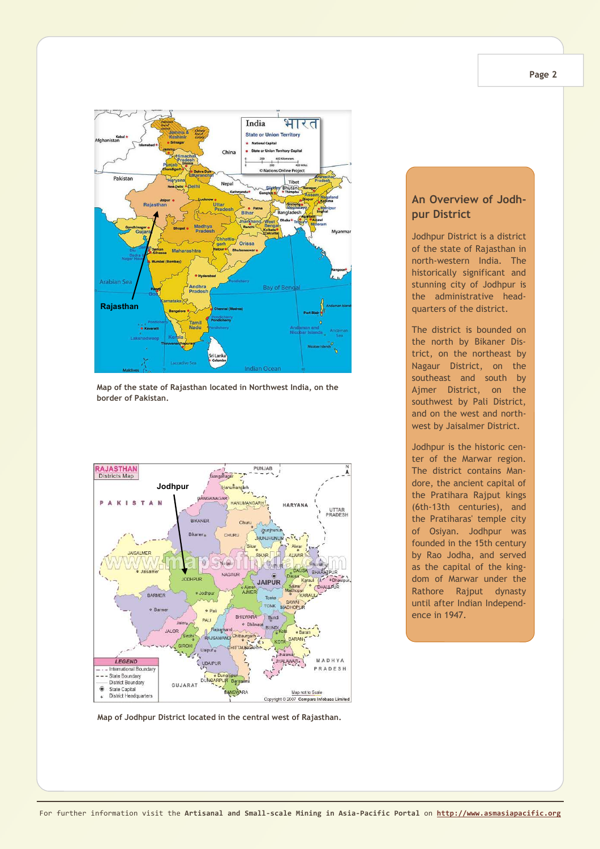

**Map of the state of Rajasthan located in Northwest India, on the border of Pakistan.**



**Map of Jodhpur District located in the central west of Rajasthan.** 

# **An Overview of Jodhpur District**

Jodhpur District is a district of the state of Rajasthan in north-western India. The historically significant and stunning city of Jodhpur is the administrative headquarters of the district.

The district is bounded on the north by Bikaner District, on the northeast by Nagaur District, on the southeast and south by Ajmer District, on the southwest by Pali District, and on the west and northwest by Jaisalmer District.

Jodhpur is the historic center of the Marwar region. The district contains Mandore, the ancient capital of the Pratihara Rajput kings (6th-13th centuries), and the Pratiharas' temple city of Osiyan. Jodhpur was founded in the 15th century by Rao Jodha, and served as the capital of the kingdom of Marwar under the Rathore Rajput dynasty until after Indian Independence in 1947.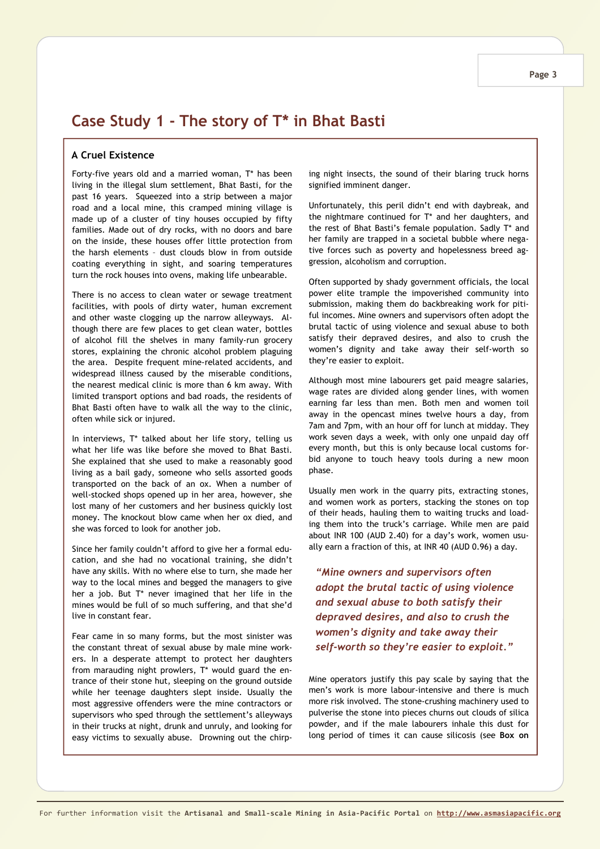# **Case Study 1 - The story of T\* in Bhat Basti**

#### **A Cruel Existence**

Forty-five years old and a married woman, T\* has been living in the illegal slum settlement, Bhat Basti, for the past 16 years. Squeezed into a strip between a major road and a local mine, this cramped mining village is made up of a cluster of tiny houses occupied by fifty families. Made out of dry rocks, with no doors and bare on the inside, these houses offer little protection from the harsh elements – dust clouds blow in from outside coating everything in sight, and soaring temperatures turn the rock houses into ovens, making life unbearable.

There is no access to clean water or sewage treatment facilities, with pools of dirty water, human excrement and other waste clogging up the narrow alleyways. Although there are few places to get clean water, bottles of alcohol fill the shelves in many family-run grocery stores, explaining the chronic alcohol problem plaguing the area. Despite frequent mine-related accidents, and widespread illness caused by the miserable conditions, the nearest medical clinic is more than 6 km away. With limited transport options and bad roads, the residents of Bhat Basti often have to walk all the way to the clinic, often while sick or injured.

In interviews, T\* talked about her life story, telling us what her life was like before she moved to Bhat Basti. She explained that she used to make a reasonably good living as a bail gady, someone who sells assorted goods transported on the back of an ox. When a number of well-stocked shops opened up in her area, however, she lost many of her customers and her business quickly lost money. The knockout blow came when her ox died, and she was forced to look for another job.

Since her family couldn't afford to give her a formal education, and she had no vocational training, she didn't have any skills. With no where else to turn, she made her way to the local mines and begged the managers to give her a job. But T\* never imagined that her life in the mines would be full of so much suffering, and that she'd live in constant fear.

Fear came in so many forms, but the most sinister was the constant threat of sexual abuse by male mine workers. In a desperate attempt to protect her daughters from marauding night prowlers, T\* would guard the entrance of their stone hut, sleeping on the ground outside while her teenage daughters slept inside. Usually the most aggressive offenders were the mine contractors or supervisors who sped through the settlement's alleyways in their trucks at night, drunk and unruly, and looking for easy victims to sexually abuse. Drowning out the chirping night insects, the sound of their blaring truck horns signified imminent danger.

Unfortunately, this peril didn't end with daybreak, and the nightmare continued for T\* and her daughters, and the rest of Bhat Basti's female population. Sadly T\* and her family are trapped in a societal bubble where negative forces such as poverty and hopelessness breed aggression, alcoholism and corruption.

Often supported by shady government officials, the local power elite trample the impoverished community into submission, making them do backbreaking work for pitiful incomes. Mine owners and supervisors often adopt the brutal tactic of using violence and sexual abuse to both satisfy their depraved desires, and also to crush the women's dignity and take away their self-worth so they're easier to exploit.

Although most mine labourers get paid meagre salaries, wage rates are divided along gender lines, with women earning far less than men. Both men and women toil away in the opencast mines twelve hours a day, from 7am and 7pm, with an hour off for lunch at midday. They work seven days a week, with only one unpaid day off every month, but this is only because local customs forbid anyone to touch heavy tools during a new moon phase.

Usually men work in the quarry pits, extracting stones, and women work as porters, stacking the stones on top of their heads, hauling them to waiting trucks and loading them into the truck's carriage. While men are paid about INR 100 (AUD 2.40) for a day's work, women usually earn a fraction of this, at INR 40 (AUD 0.96) a day.

*"Mine owners and supervisors often adopt the brutal tactic of using violence and sexual abuse to both satisfy their depraved desires, and also to crush the women's dignity and take away their self-worth so they're easier to exploit."* 

Mine operators justify this pay scale by saying that the men's work is more labour-intensive and there is much more risk involved. The stone-crushing machinery used to pulverise the stone into pieces churns out clouds of silica powder, and if the male labourers inhale this dust for long period of times it can cause silicosis (see **Box on**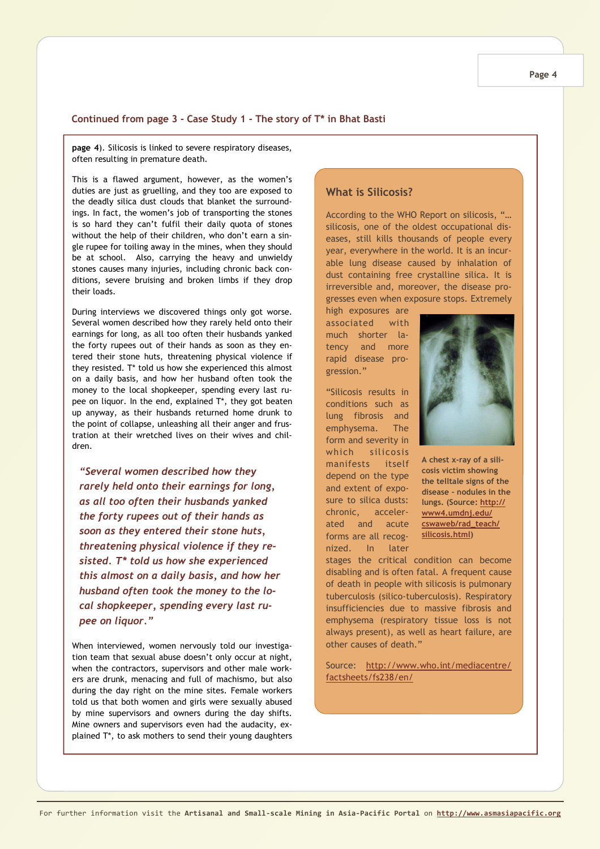#### **Page 4**

#### **Continued from page 3 - Case Study 1 - The story of T\* in Bhat Basti**

**page 4**). Silicosis is linked to severe respiratory diseases, often resulting in premature death.

This is a flawed argument, however, as the women's duties are just as gruelling, and they too are exposed to the deadly silica dust clouds that blanket the surroundings. In fact, the women's job of transporting the stones is so hard they can't fulfil their daily quota of stones without the help of their children, who don't earn a single rupee for toiling away in the mines, when they should be at school. Also, carrying the heavy and unwieldy stones causes many injuries, including chronic back conditions, severe bruising and broken limbs if they drop their loads.

During interviews we discovered things only got worse. Several women described how they rarely held onto their earnings for long, as all too often their husbands yanked the forty rupees out of their hands as soon as they entered their stone huts, threatening physical violence if they resisted. T\* told us how she experienced this almost on a daily basis, and how her husband often took the money to the local shopkeeper, spending every last rupee on liquor. In the end, explained T\*, they got beaten up anyway, as their husbands returned home drunk to the point of collapse, unleashing all their anger and frustration at their wretched lives on their wives and children.

*"Several women described how they rarely held onto their earnings for long, as all too often their husbands yanked the forty rupees out of their hands as soon as they entered their stone huts, threatening physical violence if they resisted. T\* told us how she experienced this almost on a daily basis, and how her husband often took the money to the local shopkeeper, spending every last rupee on liquor."* 

When interviewed, women nervously told our investigation team that sexual abuse doesn't only occur at night, when the contractors, supervisors and other male workers are drunk, menacing and full of machismo, but also during the day right on the mine sites. Female workers told us that both women and girls were sexually abused by mine supervisors and owners during the day shifts. Mine owners and supervisors even had the audacity, explained T\*, to ask mothers to send their young daughters

## **What is Silicosis?**

According to the WHO Report on silicosis, "… silicosis, one of the oldest occupational diseases, still kills thousands of people every year, everywhere in the world. It is an incurable lung disease caused by inhalation of dust containing free crystalline silica. It is irreversible and, moreover, the disease progresses even when exposure stops. Extremely

high exposures are associated with much shorter latency and more rapid disease progression."

"Silicosis results in conditions such as lung fibrosis and emphysema. The form and severity in which silicosis manifests itself depend on the type and extent of expochronic, acceler-**www4.umdnj.edu/** ated and acute **cswaweb/rad\_teach/** forms are all recog-**silicosis.html)** nized. In later



sure to silica dusts: **lungs. (Source: http:// A chest x-ray of a silicosis victim showing the telltale signs of the disease – nodules in the** 

stages the critical condition can become disabling and is often fatal. A frequent cause of death in people with silicosis is pulmonary tuberculosis (silico-tuberculosis). Respiratory insufficiencies due to massive fibrosis and emphysema (respiratory tissue loss is not always present), as well as heart failure, are other causes of death."

Source: http://www.who.int/mediacentre/ factsheets/fs238/en/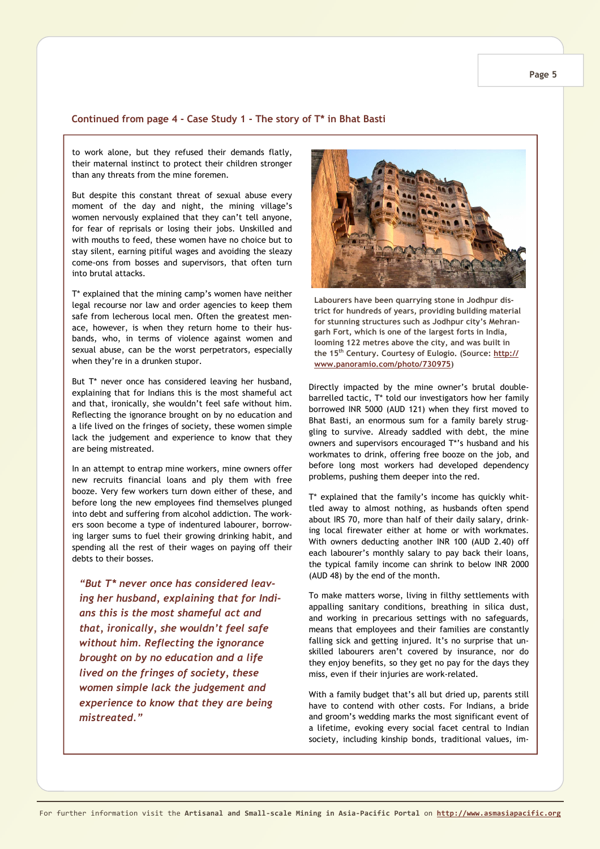#### **Continued from page 4 - Case Study 1 - The story of T\* in Bhat Basti**

to work alone, but they refused their demands flatly, their maternal instinct to protect their children stronger than any threats from the mine foremen.

But despite this constant threat of sexual abuse every moment of the day and night, the mining village's women nervously explained that they can't tell anyone, for fear of reprisals or losing their jobs. Unskilled and with mouths to feed, these women have no choice but to stay silent, earning pitiful wages and avoiding the sleazy come-ons from bosses and supervisors, that often turn into brutal attacks.

T\* explained that the mining camp's women have neither legal recourse nor law and order agencies to keep them safe from lecherous local men. Often the greatest menace, however, is when they return home to their husbands, who, in terms of violence against women and sexual abuse, can be the worst perpetrators, especially when they're in a drunken stupor.

But T\* never once has considered leaving her husband, explaining that for Indians this is the most shameful act and that, ironically, she wouldn't feel safe without him. Reflecting the ignorance brought on by no education and a life lived on the fringes of society, these women simple lack the judgement and experience to know that they are being mistreated.

In an attempt to entrap mine workers, mine owners offer new recruits financial loans and ply them with free booze. Very few workers turn down either of these, and before long the new employees find themselves plunged into debt and suffering from alcohol addiction. The workers soon become a type of indentured labourer, borrowing larger sums to fuel their growing drinking habit, and spending all the rest of their wages on paying off their debts to their bosses.

*"But T\* never once has considered leaving her husband, explaining that for Indians this is the most shameful act and that, ironically, she wouldn't feel safe without him. Reflecting the ignorance brought on by no education and a life lived on the fringes of society, these women simple lack the judgement and experience to know that they are being mistreated."* 



**Labourers have been quarrying stone in Jodhpur district for hundreds of years, providing building material for stunning structures such as Jodhpur city's Mehrangarh Fort, which is one of the largest forts in India, looming 122 metres above the city, and was built in the 15th Century. Courtesy of Eulogio. (Source: http:// www.panoramio.com/photo/730975)** 

Directly impacted by the mine owner's brutal doublebarrelled tactic, T\* told our investigators how her family borrowed INR 5000 (AUD 121) when they first moved to Bhat Basti, an enormous sum for a family barely struggling to survive. Already saddled with debt, the mine owners and supervisors encouraged T\*'s husband and his workmates to drink, offering free booze on the job, and before long most workers had developed dependency problems, pushing them deeper into the red.

T\* explained that the family's income has quickly whittled away to almost nothing, as husbands often spend about IRS 70, more than half of their daily salary, drinking local firewater either at home or with workmates. With owners deducting another INR 100 (AUD 2.40) off each labourer's monthly salary to pay back their loans, the typical family income can shrink to below INR 2000 (AUD 48) by the end of the month.

To make matters worse, living in filthy settlements with appalling sanitary conditions, breathing in silica dust, and working in precarious settings with no safeguards, means that employees and their families are constantly falling sick and getting injured. It's no surprise that unskilled labourers aren't covered by insurance, nor do they enjoy benefits, so they get no pay for the days they miss, even if their injuries are work-related.

With a family budget that's all but dried up, parents still have to contend with other costs. For Indians, a bride and groom's wedding marks the most significant event of a lifetime, evoking every social facet central to Indian society, including kinship bonds, traditional values, im-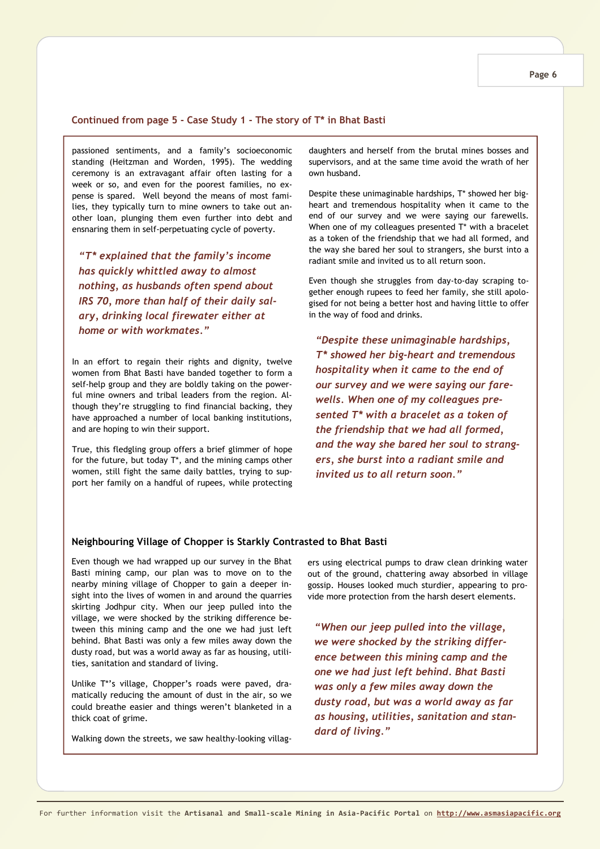#### **Continued from page 5 - Case Study 1 - The story of T\* in Bhat Basti**

passioned sentiments, and a family's socioeconomic standing (Heitzman and Worden, 1995). The wedding ceremony is an extravagant affair often lasting for a week or so, and even for the poorest families, no expense is spared. Well beyond the means of most families, they typically turn to mine owners to take out another loan, plunging them even further into debt and ensnaring them in self-perpetuating cycle of poverty.

*"T\* explained that the family's income has quickly whittled away to almost nothing, as husbands often spend about IRS 70, more than half of their daily salary, drinking local firewater either at home or with workmates."* 

In an effort to regain their rights and dignity, twelve women from Bhat Basti have banded together to form a self-help group and they are boldly taking on the powerful mine owners and tribal leaders from the region. Although they're struggling to find financial backing, they have approached a number of local banking institutions, and are hoping to win their support.

True, this fledgling group offers a brief glimmer of hope for the future, but today T\*, and the mining camps other women, still fight the same daily battles, trying to support her family on a handful of rupees, while protecting daughters and herself from the brutal mines bosses and supervisors, and at the same time avoid the wrath of her own husband.

Despite these unimaginable hardships, T\* showed her bigheart and tremendous hospitality when it came to the end of our survey and we were saying our farewells. When one of my colleagues presented T\* with a bracelet as a token of the friendship that we had all formed, and the way she bared her soul to strangers, she burst into a radiant smile and invited us to all return soon.

Even though she struggles from day-to-day scraping together enough rupees to feed her family, she still apologised for not being a better host and having little to offer in the way of food and drinks.

*"Despite these unimaginable hardships, T\* showed her big-heart and tremendous hospitality when it came to the end of our survey and we were saying our farewells. When one of my colleagues presented T\* with a bracelet as a token of the friendship that we had all formed, and the way she bared her soul to strangers, she burst into a radiant smile and invited us to all return soon."* 

#### **Neighbouring Village of Chopper is Starkly Contrasted to Bhat Basti**

Even though we had wrapped up our survey in the Bhat Basti mining camp, our plan was to move on to the nearby mining village of Chopper to gain a deeper insight into the lives of women in and around the quarries skirting Jodhpur city. When our jeep pulled into the village, we were shocked by the striking difference between this mining camp and the one we had just left behind. Bhat Basti was only a few miles away down the dusty road, but was a world away as far as housing, utilities, sanitation and standard of living.

Unlike T\*'s village, Chopper's roads were paved, dramatically reducing the amount of dust in the air, so we could breathe easier and things weren't blanketed in a thick coat of grime.

Walking down the streets, we saw healthy-looking villag-

ers using electrical pumps to draw clean drinking water out of the ground, chattering away absorbed in village gossip. Houses looked much sturdier, appearing to provide more protection from the harsh desert elements.

*"When our jeep pulled into the village, we were shocked by the striking difference between this mining camp and the one we had just left behind. Bhat Basti was only a few miles away down the dusty road, but was a world away as far as housing, utilities, sanitation and standard of living."*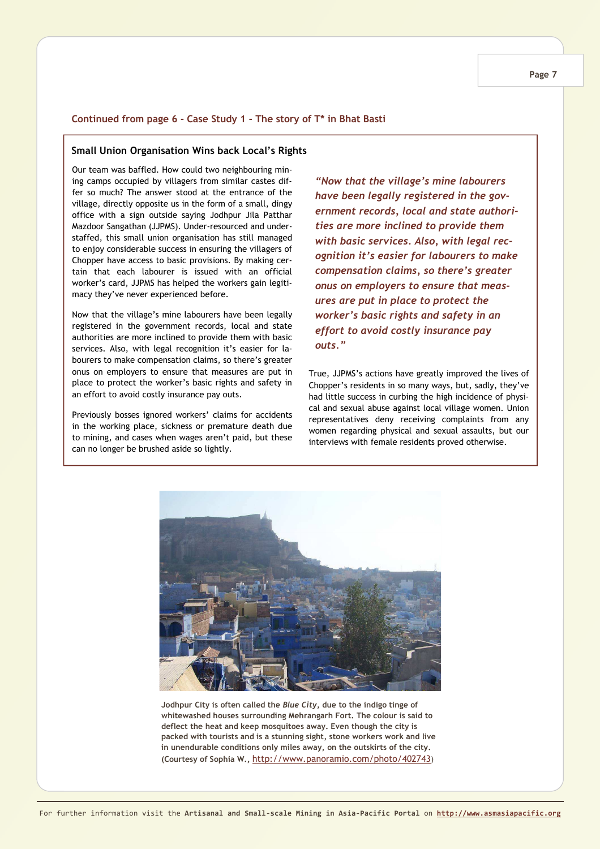#### **Continued from page 6 - Case Study 1 - The story of T\* in Bhat Basti**

#### **Small Union Organisation Wins back Local's Rights**

Our team was baffled. How could two neighbouring mining camps occupied by villagers from similar castes differ so much? The answer stood at the entrance of the village, directly opposite us in the form of a small, dingy office with a sign outside saying Jodhpur Jila Patthar Mazdoor Sangathan (JJPMS). Under-resourced and understaffed, this small union organisation has still managed to enjoy considerable success in ensuring the villagers of Chopper have access to basic provisions. By making certain that each labourer is issued with an official worker's card, JJPMS has helped the workers gain legitimacy they've never experienced before.

Now that the village's mine labourers have been legally registered in the government records, local and state authorities are more inclined to provide them with basic services. Also, with legal recognition it's easier for labourers to make compensation claims, so there's greater onus on employers to ensure that measures are put in place to protect the worker's basic rights and safety in an effort to avoid costly insurance pay outs.

Previously bosses ignored workers' claims for accidents in the working place, sickness or premature death due to mining, and cases when wages aren't paid, but these can no longer be brushed aside so lightly.

*"Now that the village's mine labourers have been legally registered in the government records, local and state authorities are more inclined to provide them with basic services. Also, with legal recognition it's easier for labourers to make compensation claims, so there's greater onus on employers to ensure that measures are put in place to protect the worker's basic rights and safety in an effort to avoid costly insurance pay outs."* 

True, JJPMS's actions have greatly improved the lives of Chopper's residents in so many ways, but, sadly, they've had little success in curbing the high incidence of physical and sexual abuse against local village women. Union representatives deny receiving complaints from any women regarding physical and sexual assaults, but our interviews with female residents proved otherwise.



**Jodhpur City is often called the** *Blue City***, due to the indigo tinge of whitewashed houses surrounding Mehrangarh Fort. The colour is said to deflect the heat and keep mosquitoes away. Even though the city is packed with tourists and is a stunning sight, stone workers work and live in unendurable conditions only miles away, on the outskirts of the city. (Courtesy of Sophia W.,** http://www.panoramio.com/photo/402743)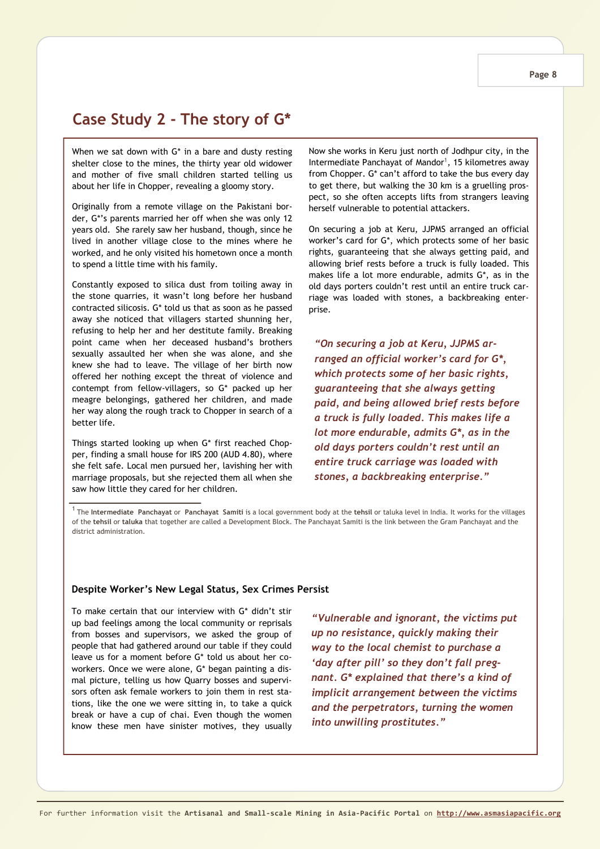# **Case Study 2 - The story of G\***

When we sat down with G<sup>\*</sup> in a bare and dusty resting shelter close to the mines, the thirty year old widower and mother of five small children started telling us about her life in Chopper, revealing a gloomy story.

Originally from a remote village on the Pakistani border, G\*'s parents married her off when she was only 12 years old. She rarely saw her husband, though, since he lived in another village close to the mines where he worked, and he only visited his hometown once a month to spend a little time with his family.

Constantly exposed to silica dust from toiling away in the stone quarries, it wasn't long before her husband contracted silicosis. G\* told us that as soon as he passed away she noticed that villagers started shunning her, refusing to help her and her destitute family. Breaking point came when her deceased husband's brothers sexually assaulted her when she was alone, and she knew she had to leave. The village of her birth now offered her nothing except the threat of violence and contempt from fellow-villagers, so G\* packed up her meagre belongings, gathered her children, and made her way along the rough track to Chopper in search of a better life.

Things started looking up when G\* first reached Chopper, finding a small house for IRS 200 (AUD 4.80), where she felt safe. Local men pursued her, lavishing her with marriage proposals, but she rejected them all when she saw how little they cared for her children.

Now she works in Keru just north of Jodhpur city, in the Intermediate Panchayat of Mandor<sup>1</sup>, 15 kilometres away from Chopper. G\* can't afford to take the bus every day to get there, but walking the 30 km is a gruelling prospect, so she often accepts lifts from strangers leaving herself vulnerable to potential attackers.

On securing a job at Keru, JJPMS arranged an official worker's card for G\*, which protects some of her basic rights, guaranteeing that she always getting paid, and allowing brief rests before a truck is fully loaded. This makes life a lot more endurable, admits G\*, as in the old days porters couldn't rest until an entire truck carriage was loaded with stones, a backbreaking enterprise.

*"On securing a job at Keru, JJPMS arranged an official worker's card for G\*, which protects some of her basic rights, guaranteeing that she always getting paid, and being allowed brief rests before a truck is fully loaded. This makes life a lot more endurable, admits G\*, as in the old days porters couldn't rest until an entire truck carriage was loaded with stones, a backbreaking enterprise."* 

<sup>1</sup> The Intermediate Panchayat or Panchayat Samiti is a local government body at the tehsil or taluka level in India. It works for the villages of the **tehsil** or **taluka** that together are called a Development Block. The Panchayat Samiti is the link between the Gram Panchayat and the district administration.

#### **Despite Worker's New Legal Status, Sex Crimes Persist**

To make certain that our interview with G\* didn't stir up bad feelings among the local community or reprisals from bosses and supervisors, we asked the group of people that had gathered around our table if they could leave us for a moment before G\* told us about her coworkers. Once we were alone, G\* began painting a dismal picture, telling us how Quarry bosses and supervisors often ask female workers to join them in rest stations, like the one we were sitting in, to take a quick break or have a cup of chai. Even though the women know these men have sinister motives, they usually

*"Vulnerable and ignorant, the victims put up no resistance, quickly making their way to the local chemist to purchase a 'day after pill' so they don't fall pregnant. G\* explained that there's a kind of implicit arrangement between the victims and the perpetrators, turning the women into unwilling prostitutes."*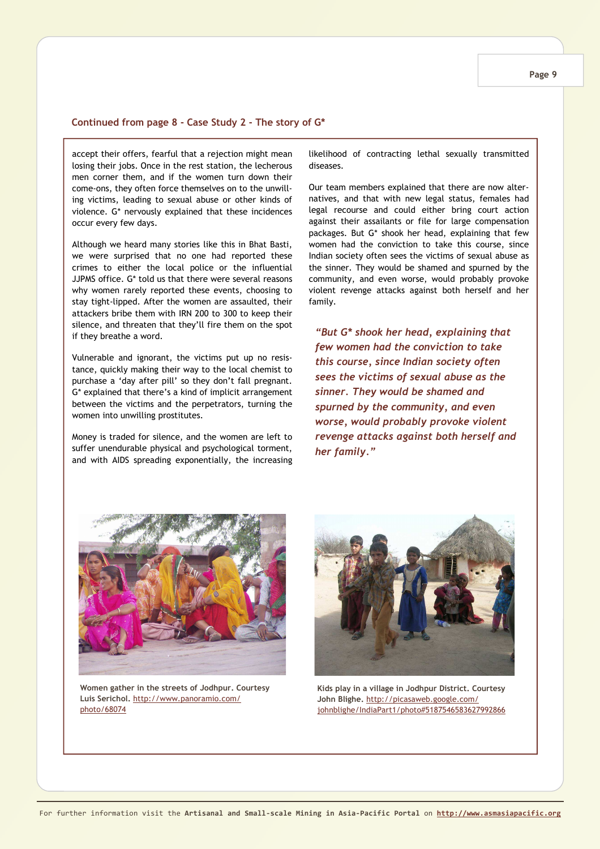#### **Continued from page 8 - Case Study 2 - The story of G\***

accept their offers, fearful that a rejection might mean losing their jobs. Once in the rest station, the lecherous men corner them, and if the women turn down their come-ons, they often force themselves on to the unwilling victims, leading to sexual abuse or other kinds of violence. G\* nervously explained that these incidences occur every few days.

Although we heard many stories like this in Bhat Basti, we were surprised that no one had reported these crimes to either the local police or the influential JJPMS office. G\* told us that there were several reasons why women rarely reported these events, choosing to stay tight-lipped. After the women are assaulted, their attackers bribe them with IRN 200 to 300 to keep their silence, and threaten that they'll fire them on the spot if they breathe a word.

Vulnerable and ignorant, the victims put up no resistance, quickly making their way to the local chemist to purchase a 'day after pill' so they don't fall pregnant. G\* explained that there's a kind of implicit arrangement between the victims and the perpetrators, turning the women into unwilling prostitutes.

Money is traded for silence, and the women are left to suffer unendurable physical and psychological torment, and with AIDS spreading exponentially, the increasing likelihood of contracting lethal sexually transmitted diseases.

Our team members explained that there are now alternatives, and that with new legal status, females had legal recourse and could either bring court action against their assailants or file for large compensation packages. But G\* shook her head, explaining that few women had the conviction to take this course, since Indian society often sees the victims of sexual abuse as the sinner. They would be shamed and spurned by the community, and even worse, would probably provoke violent revenge attacks against both herself and her family.

*"But G\* shook her head, explaining that few women had the conviction to take this course, since Indian society often sees the victims of sexual abuse as the sinner. They would be shamed and spurned by the community, and even worse, would probably provoke violent revenge attacks against both herself and her family."* 



**Women gather in the streets of Jodhpur. Courtesy Luis Serichol.** http://www.panoramio.com/ photo/68074



**Kids play in a village in Jodhpur District. Courtesy John Blighe.** http://picasaweb.google.com/ johnblighe/IndiaPart1/photo#5187546583627992866